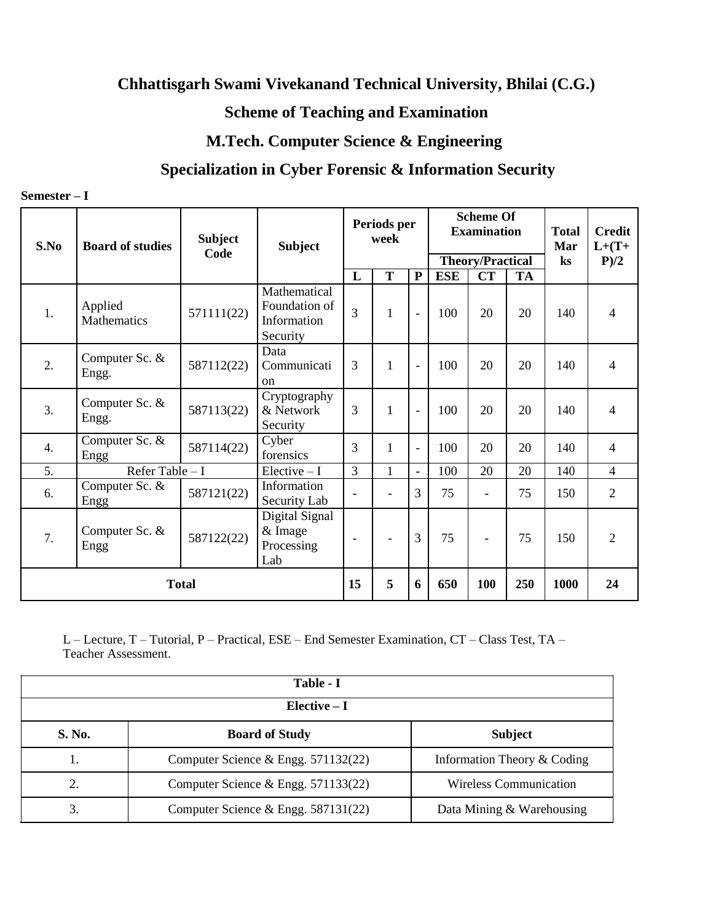## **Chhattisgarh Swami Vivekanand Technical University, Bhilai (C.G.)**

## **Scheme of Teaching and Examination**

## **M.Tech. Computer Science & Engineering**

## **Specialization in Cyber Forensic & Information Security**

| $Semester-$ |  |
|-------------|--|
|-------------|--|

| S.No             | <b>Board of studies</b>       | <b>Subject</b><br>Code | <b>Subject</b>                                           | Periods per<br>week      |                          |                          | <b>Scheme Of</b><br><b>Examination</b><br><b>Theory/Practical</b> |                          |           | <b>Total</b><br>Mar<br>$\mathbf{k}$ s | <b>Credit</b><br>$L+(T+$<br>P/2 |
|------------------|-------------------------------|------------------------|----------------------------------------------------------|--------------------------|--------------------------|--------------------------|-------------------------------------------------------------------|--------------------------|-----------|---------------------------------------|---------------------------------|
|                  |                               |                        |                                                          | L                        | $\overline{T}$           | ${\bf P}$                | <b>ESE</b>                                                        | $\overline{\text{CT}}$   | <b>TA</b> |                                       |                                 |
| 1.               | Applied<br><b>Mathematics</b> | 571111(22)             | Mathematical<br>Foundation of<br>Information<br>Security | 3                        | $\mathbf{1}$             | $\overline{\phantom{0}}$ | 100                                                               | 20                       | 20        | 140                                   | $\overline{4}$                  |
| 2.               | Computer Sc. &<br>Engg.       | 587112(22)             | Data<br>Communicati<br><sub>on</sub>                     | 3                        | $\mathbf{1}$             | $\overline{a}$           | 100                                                               | 20                       | 20        | 140                                   | $\overline{4}$                  |
| 3.               | Computer Sc. &<br>Engg.       | 587113(22)             | Cryptography<br>& Network<br>Security                    | 3                        | 1                        | $\overline{a}$           | 100                                                               | 20                       | 20        | 140                                   | $\overline{4}$                  |
| $\overline{4}$ . | Computer Sc. &<br>Engg        | 587114(22)             | Cyber<br>forensics                                       | 3                        | $\mathbf{1}$             | $\overline{a}$           | 100                                                               | 20                       | 20        | 140                                   | $\overline{4}$                  |
| 5.               | Refer Table - I               |                        | $Electric - I$                                           | 3                        | $\mathbf{1}$             | $\equiv$                 | 100                                                               | 20                       | 20        | 140                                   | $\overline{4}$                  |
| 6.               | Computer Sc. &<br>Engg        | 587121(22)             | Information<br>Security Lab                              | $\overline{\phantom{a}}$ | $\overline{\phantom{a}}$ | $\overline{3}$           | 75                                                                | $\overline{\phantom{a}}$ | 75        | 150                                   | 2                               |
| 7.               | Computer Sc. &<br>Engg        | 587122(22)             | Digital Signal<br>& Image<br>Processing<br>Lab           | $\overline{\phantom{a}}$ | $\overline{\phantom{a}}$ | 3                        | 75                                                                | $\overline{\phantom{a}}$ | 75        | 150                                   | $\overline{2}$                  |
| <b>Total</b>     |                               |                        | 15                                                       | 5                        | 6                        | 650                      | 100                                                               | 250                      | 1000      | 24                                    |                                 |

L – Lecture, T – Tutorial, P – Practical, ESE – End Semester Examination, CT – Class Test, TA – Teacher Assessment.

| Table - I                                         |                                       |                               |  |  |  |  |  |  |  |
|---------------------------------------------------|---------------------------------------|-------------------------------|--|--|--|--|--|--|--|
| $Elective-I$                                      |                                       |                               |  |  |  |  |  |  |  |
| S. No.<br><b>Subject</b><br><b>Board of Study</b> |                                       |                               |  |  |  |  |  |  |  |
|                                                   | Computer Science & Engg. $571132(22)$ | Information Theory & Coding   |  |  |  |  |  |  |  |
| 2.                                                | Computer Science & Engg. $571133(22)$ | <b>Wireless Communication</b> |  |  |  |  |  |  |  |
| 3.                                                | Computer Science & Engg. $587131(22)$ | Data Mining & Warehousing     |  |  |  |  |  |  |  |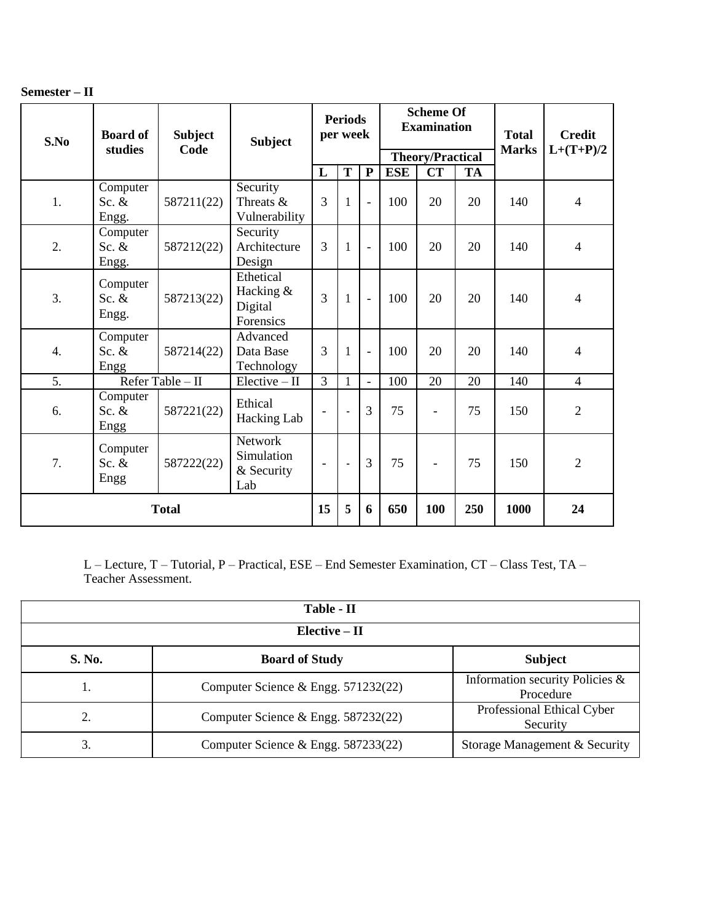| Semester – II |  |
|---------------|--|
|---------------|--|

| S.No         | <b>Board of</b><br>studies   | <b>Subject</b><br>Code | <b>Subject</b>                                 | <b>Periods</b><br>per week |                          |                          | <b>Scheme Of</b><br><b>Examination</b> |                          |           | <b>Total</b><br><b>Marks</b> | <b>Credit</b><br>$L+(T+P)/2$ |
|--------------|------------------------------|------------------------|------------------------------------------------|----------------------------|--------------------------|--------------------------|----------------------------------------|--------------------------|-----------|------------------------------|------------------------------|
|              |                              |                        |                                                |                            |                          |                          | <b>Theory/Practical</b>                |                          |           |                              |                              |
|              |                              |                        |                                                | L                          | T                        | $\mathbf{P}$             | <b>ESE</b>                             | $\overline{\text{CT}}$   | <b>TA</b> |                              |                              |
| 1.           | Computer<br>Sc. $&$<br>Engg. | 587211(22)             | Security<br>Threats &<br>Vulnerability         | 3                          | $\mathbf{1}$             | $\overline{\phantom{a}}$ | 100                                    | 20                       | 20        | 140                          | $\overline{4}$               |
| 2.           | Computer<br>Sc. $&$<br>Engg. | 587212(22)             | Security<br>Architecture<br>Design             | 3                          | $\mathbf{1}$             | $\overline{\phantom{a}}$ | 100                                    | 20                       | 20        | 140                          | $\overline{4}$               |
| 3.           | Computer<br>Sc. $&$<br>Engg. | 587213(22)             | Ethetical<br>Hacking &<br>Digital<br>Forensics | 3                          | $\mathbf{1}$             | $\blacksquare$           | 100                                    | 20                       | 20        | 140                          | 4                            |
| 4.           | Computer<br>Sc. $&$<br>Engg  | 587214(22)             | Advanced<br>Data Base<br>Technology            | 3                          | $\mathbf{1}$             |                          | 100                                    | 20                       | 20        | 140                          | 4                            |
| 5.           |                              | Refer Table - II       | $Electric - II$                                | 3                          | $\mathbf{1}$             | $\equiv$                 | 100                                    | 20                       | 20        | 140                          | $\overline{4}$               |
| 6.           | Computer<br>Sc. $&$<br>Engg  | 587221(22)             | Ethical<br>Hacking Lab                         | $\overline{\phantom{a}}$   | ÷,                       | $\overline{3}$           | 75                                     | $\overline{\phantom{a}}$ | 75        | 150                          | $\overline{2}$               |
| 7.           | Computer<br>Sc. $&$<br>Engg  | 587222(22)             | Network<br>Simulation<br>& Security<br>Lab     | $\overline{\phantom{a}}$   | $\overline{\phantom{a}}$ | $\overline{3}$           | 75                                     | $\overline{\phantom{a}}$ | 75        | 150                          | $\overline{2}$               |
| <b>Total</b> |                              |                        | 15                                             | 5                          | 6                        | 650                      | 100                                    | 250                      | 1000      | 24                           |                              |

L – Lecture, T – Tutorial, P – Practical, ESE – End Semester Examination, CT – Class Test, TA – Teacher Assessment.

| Table - II      |                                       |                                              |  |  |  |  |  |  |  |
|-----------------|---------------------------------------|----------------------------------------------|--|--|--|--|--|--|--|
| $Elective - II$ |                                       |                                              |  |  |  |  |  |  |  |
| S. No.          | <b>Board of Study</b>                 | <b>Subject</b>                               |  |  |  |  |  |  |  |
| ı.              | Computer Science & Engg. $571232(22)$ | Information security Policies &<br>Procedure |  |  |  |  |  |  |  |
| 2.              | Computer Science & Engg. 587232(22)   | Professional Ethical Cyber<br>Security       |  |  |  |  |  |  |  |
|                 | Computer Science & Engg. $587233(22)$ | Storage Management & Security                |  |  |  |  |  |  |  |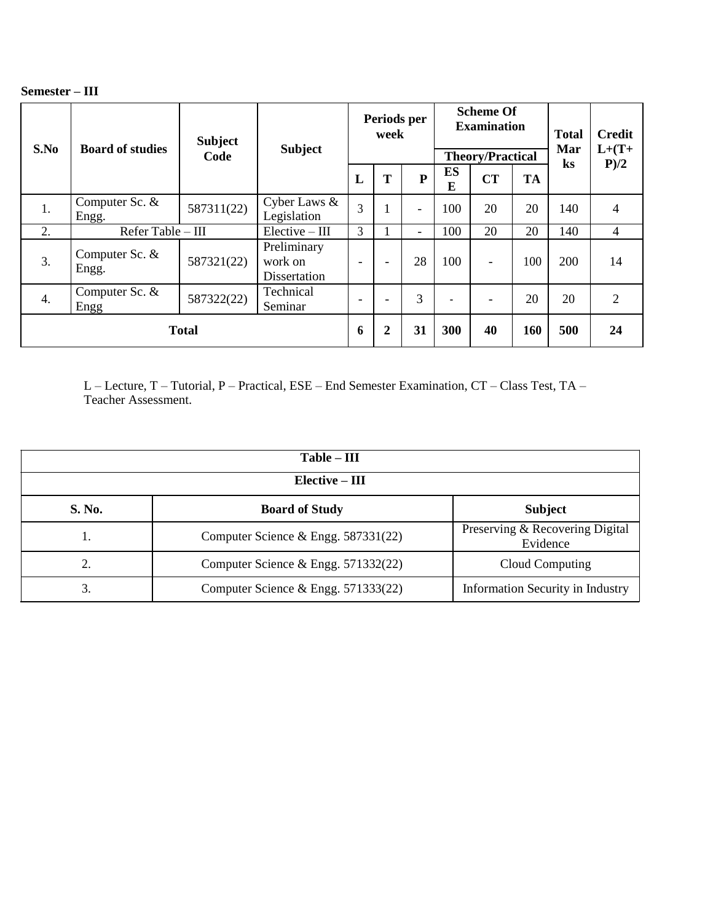| Semester – III |  |
|----------------|--|
|----------------|--|

| S.No         | <b>Subject</b><br><b>Board of studies</b><br>Code |            | <b>Subject</b>                         | Periods per<br>week      |                          |                          | <b>Scheme Of</b><br><b>Examination</b><br><b>Theory/Practical</b> |                          |           | <b>Total</b><br>Mar | <b>Credit</b><br>$L+(T+$ |
|--------------|---------------------------------------------------|------------|----------------------------------------|--------------------------|--------------------------|--------------------------|-------------------------------------------------------------------|--------------------------|-----------|---------------------|--------------------------|
|              |                                                   |            |                                        | L                        | T                        | ${\bf P}$                | <b>ES</b><br>E                                                    | <b>CT</b>                | <b>TA</b> | $\bf ks$            | P/2                      |
| 1.           | Computer Sc. &<br>Engg.                           | 587311(22) | Cyber Laws &<br>Legislation            | 3                        |                          |                          | 100                                                               | 20                       | 20        | 140                 | $\overline{4}$           |
| 2.           | Refer Table - III                                 |            | $Elective - III$                       | 3                        |                          | $\overline{\phantom{0}}$ | 100                                                               | 20                       | 20        | 140                 | $\overline{4}$           |
| 3.           | Computer Sc. &<br>Engg.                           | 587321(22) | Preliminary<br>work on<br>Dissertation | $\overline{\phantom{0}}$ | $\overline{\phantom{0}}$ | 28                       | 100                                                               | $\overline{\phantom{a}}$ | 100       | 200                 | 14                       |
| 4.           | Computer Sc. &<br>Engg                            | 587322(22) | Technical<br>Seminar                   | $\overline{\phantom{0}}$ | $\overline{\phantom{0}}$ | 3                        | $\overline{\phantom{0}}$                                          | $\overline{\phantom{0}}$ | 20        | 20                  | $\overline{2}$           |
| <b>Total</b> |                                                   |            | 6                                      | $\overline{2}$           | 31                       | 300                      | 40                                                                | 160                      | 500       | 24                  |                          |

L – Lecture, T – Tutorial, P – Practical, ESE – End Semester Examination, CT – Class Test, TA – Teacher Assessment.

| $Table - III$    |                                       |                                             |  |  |  |  |  |  |  |
|------------------|---------------------------------------|---------------------------------------------|--|--|--|--|--|--|--|
| $Elective - III$ |                                       |                                             |  |  |  |  |  |  |  |
| S. No.           | <b>Board of Study</b>                 | <b>Subject</b>                              |  |  |  |  |  |  |  |
|                  | Computer Science & Engg. $587331(22)$ | Preserving & Recovering Digital<br>Evidence |  |  |  |  |  |  |  |
|                  | Computer Science & Engg. $571332(22)$ | Cloud Computing                             |  |  |  |  |  |  |  |
| 3.               | Computer Science & Engg. $571333(22)$ | <b>Information Security in Industry</b>     |  |  |  |  |  |  |  |